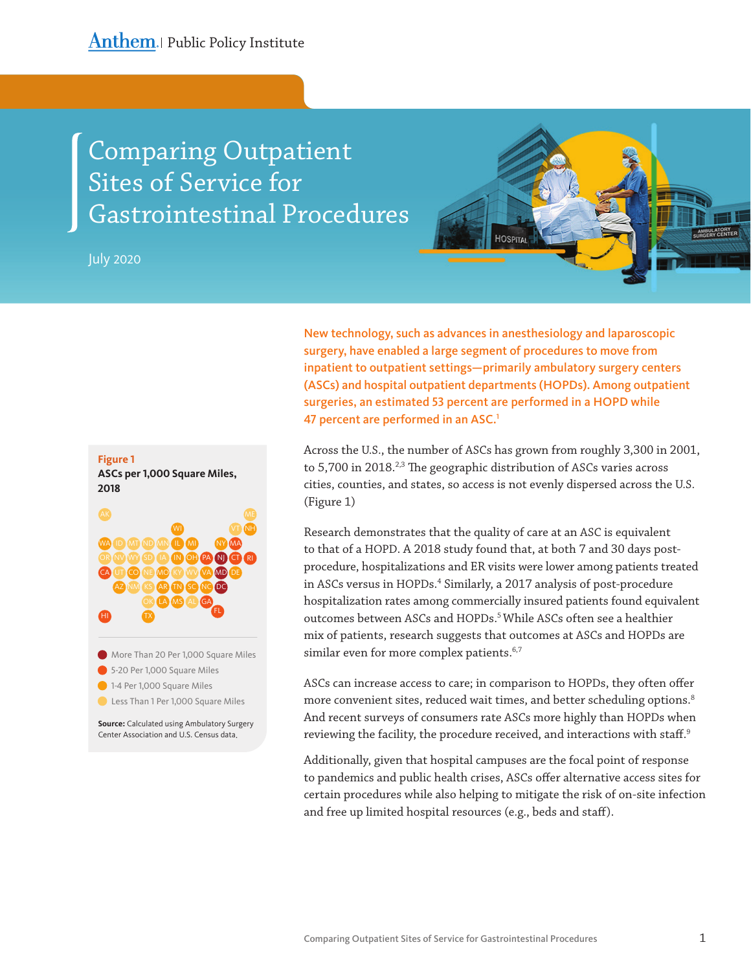# Comparing Outpatient Sites of Service for Gastrointestinal Procedures

July 2020

# **HOSPITAL**

New technology, such as advances in anesthesiology and laparoscopic surgery, have enabled a large segment of procedures to move from inpatient to outpatient settings—primarily ambulatory surgery centers (ASCs) and hospital outpatient departments (HOPDs). Among outpatient surgeries, an estimated 53 percent are performed in a HOPD while 47 percent are performed in an ASC.<sup>1</sup>

Across the U.S., the number of ASCs has grown from roughly 3,300 in 2001, to 5,700 in 2018.<sup>2,3</sup> The geographic distribution of ASCs varies across cities, counties, and states, so access is not evenly dispersed across the U.S. (Figure 1)

Research demonstrates that the quality of care at an ASC is equivalent to that of a HOPD. A 2018 study found that, at both 7 and 30 days postprocedure, hospitalizations and ER visits were lower among patients treated in ASCs versus in HOPDs.<sup>4</sup> Similarly, a 2017 analysis of post-procedure hospitalization rates among commercially insured patients found equivalent outcomes between ASCs and HOPDs.<sup>5</sup> While ASCs often see a healthier mix of patients, research suggests that outcomes at ASCs and HOPDs are similar even for more complex patients.<sup>6,7</sup>

ASCs can increase access to care; in comparison to HOPDs, they often offer more convenient sites, reduced wait times, and better scheduling options.<sup>8</sup> And recent surveys of consumers rate ASCs more highly than HOPDs when reviewing the facility, the procedure received, and interactions with staff.<sup>9</sup>

Additionally, given that hospital campuses are the focal point of response to pandemics and public health crises, ASCs offer alternative access sites for certain procedures while also helping to mitigate the risk of on-site infection and free up limited hospital resources (e.g., beds and staff).

### **Figure 1**

**ASCs per 1,000 Square Miles, 2018**



**Source:** Calculated using Ambulatory Surgery Center Association and U.S. Census data.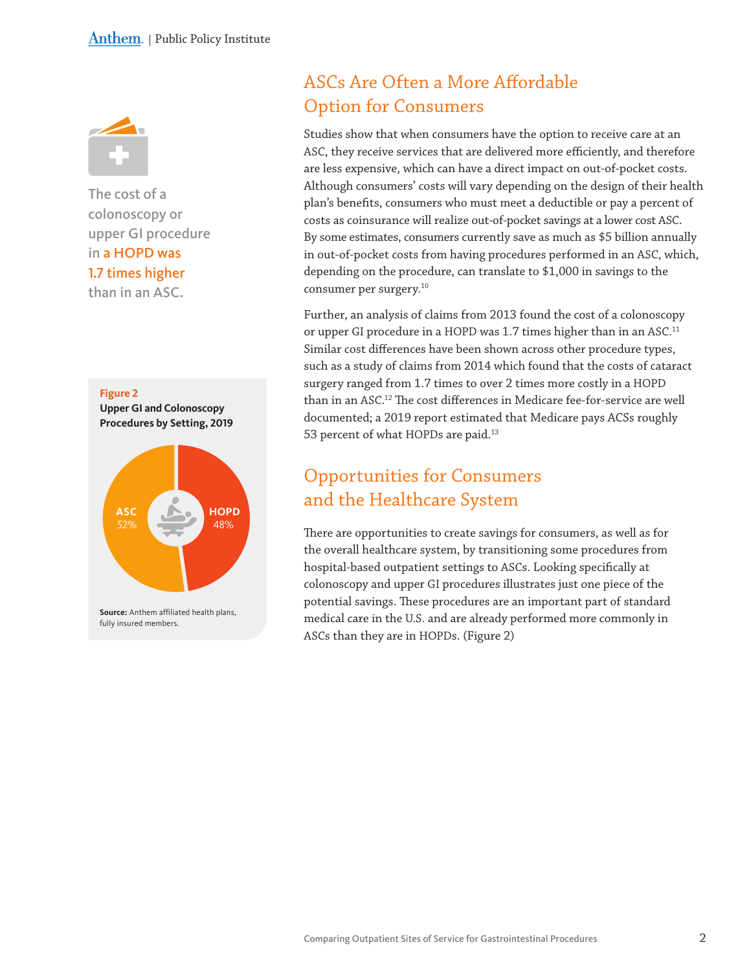

The cost of a colonoscopy or upper GI procedure in a HOPD was 1.7 times higher than in an ASC.



# ASCs Are Often a More Affordable Option for Consumers

Studies show that when consumers have the option to receive care at an ASC, they receive services that are delivered more efficiently, and therefore are less expensive, which can have a direct impact on out-of-pocket costs. Although consumers' costs will vary depending on the design of their health plan's benefits, consumers who must meet a deductible or pay a percent of costs as coinsurance will realize out-of-pocket savings at a lower cost ASC. By some estimates, consumers currently save as much as \$5 billion annually in out-of-pocket costs from having procedures performed in an ASC, which, depending on the procedure, can translate to \$1,000 in savings to the consumer per surgery.10

Further, an analysis of claims from 2013 found the cost of a colonoscopy or upper GI procedure in a HOPD was 1.7 times higher than in an ASC.<sup>11</sup> Similar cost differences have been shown across other procedure types, such as a study of claims from 2014 which found that the costs of cataract surgery ranged from 1.7 times to over 2 times more costly in a HOPD than in an ASC. 12 The cost differences in Medicare fee-for-service are well documented; a 2019 report estimated that Medicare pays ACSs roughly 53 percent of what HOPDs are paid.<sup>13</sup>

# Opportunities for Consumers and the Healthcare System

There are opportunities to create savings for consumers, as well as for the overall healthcare system, by transitioning some procedures from hospital-based outpatient settings to ASCs. Looking specifically at colonoscopy and upper GI procedures illustrates just one piece of the potential savings. These procedures are an important part of standard medical care in the U.S. and are already performed more commonly in ASCs than they are in HOPDs. (Figure 2)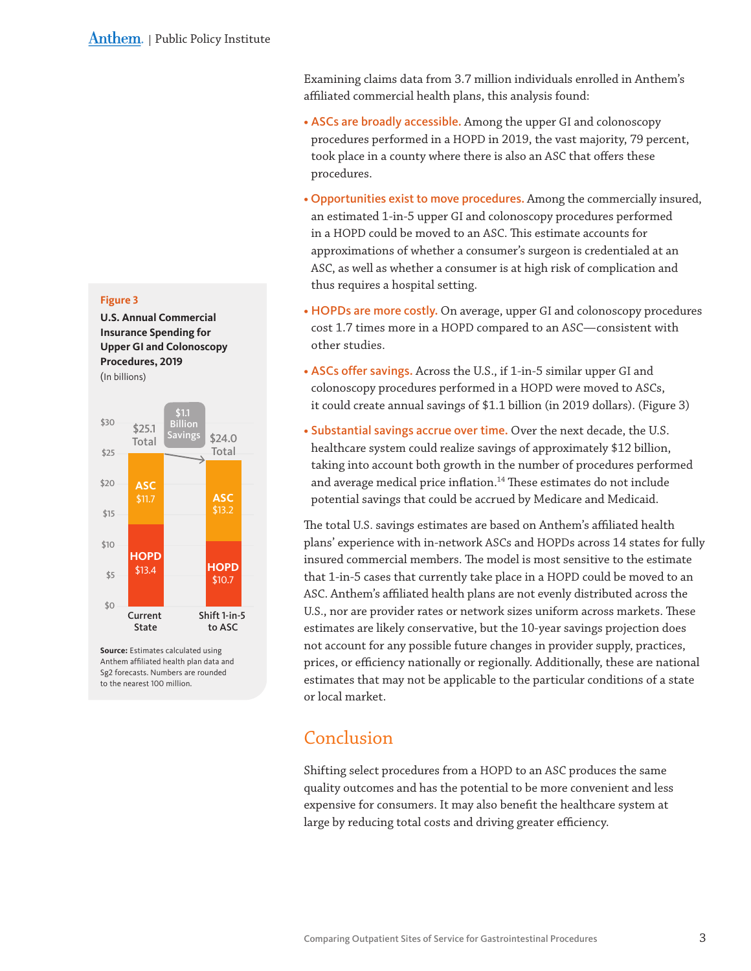Examining claims data from 3.7 million individuals enrolled in Anthem's affiliated commercial health plans, this analysis found:

- ASCs are broadly accessible. Among the upper GI and colonoscopy procedures performed in a HOPD in 2019, the vast majority, 79 percent, took place in a county where there is also an ASC that offers these procedures.
- Opportunities exist to move procedures. Among the commercially insured, an estimated 1-in-5 upper GI and colonoscopy procedures performed in a HOPD could be moved to an ASC. This estimate accounts for approximations of whether a consumer's surgeon is credentialed at an ASC, as well as whether a consumer is at high risk of complication and thus requires a hospital setting.
- HOPDs are more costly. On average, upper GI and colonoscopy procedures cost 1.7 times more in a HOPD compared to an ASC—consistent with other studies.
- ASCs offer savings. Across the U.S., if 1-in-5 similar upper GI and colonoscopy procedures performed in a HOPD were moved to ASCs, it could create annual savings of \$1.1 billion (in 2019 dollars). (Figure 3)
- Substantial savings accrue over time. Over the next decade, the U.S. healthcare system could realize savings of approximately \$12 billion, taking into account both growth in the number of procedures performed and average medical price inflation.<sup>14</sup> These estimates do not include potential savings that could be accrued by Medicare and Medicaid.

The total U.S. savings estimates are based on Anthem's affiliated health plans' experience with in-network ASCs and HOPDs across 14 states for fully insured commercial members. The model is most sensitive to the estimate that 1-in-5 cases that currently take place in a HOPD could be moved to an ASC. Anthem's affiliated health plans are not evenly distributed across the U.S., nor are provider rates or network sizes uniform across markets. These estimates are likely conservative, but the 10-year savings projection does not account for any possible future changes in provider supply, practices, prices, or efficiency nationally or regionally. Additionally, these are national estimates that may not be applicable to the particular conditions of a state or local market.

## Conclusion

Shifting select procedures from a HOPD to an ASC produces the same quality outcomes and has the potential to be more convenient and less expensive for consumers. It may also benefit the healthcare system at large by reducing total costs and driving greater efficiency.

### **Figure 3**

**U.S. Annual Commercial Insurance Spending for Upper GI and Colonoscopy Procedures, 2019** (In billions)



**Source:** Estimates calculated using Anthem affiliated health plan data and Sg2 forecasts. Numbers are rounded to the nearest 100 million.